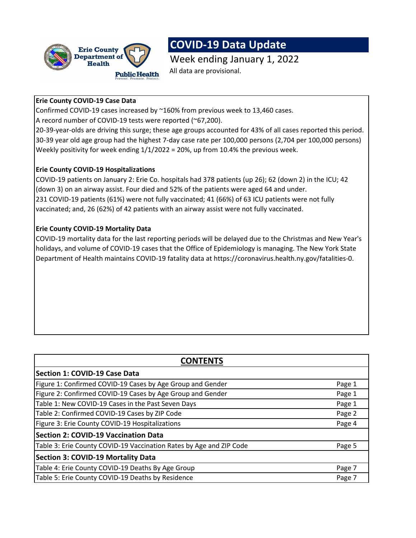

# **COVID-19 Data Update**

Week ending January 1, 2022 All data are provisional.

# **Erie County COVID-19 Case Data**

Confirmed COVID-19 cases increased by ~160% from previous week to 13,460 cases. A record number of COVID-19 tests were reported (~67,200).

20-39-year-olds are driving this surge; these age groups accounted for 43% of all cases reported this period. 30-39 year old age group had the highest 7-day case rate per 100,000 persons (2,704 per 100,000 persons) Weekly positivity for week ending  $1/1/2022 = 20%$ , up from 10.4% the previous week.

## **Erie County COVID-19 Hospitalizations**

COVID-19 patients on January 2: Erie Co. hospitals had 378 patients (up 26); 62 (down 2) in the ICU; 42 (down 3) on an airway assist. Four died and 52% of the patients were aged 64 and under. 231 COVID-19 patients (61%) were not fully vaccinated; 41 (66%) of 63 ICU patients were not fully vaccinated; and, 26 (62%) of 42 patients with an airway assist were not fully vaccinated.

# **Erie County COVID-19 Mortality Data**

COVID-19 mortality data for the last reporting periods will be delayed due to the Christmas and New Year's holidays, and volume of COVID-19 cases that the Office of Epidemiology is managing. The New York State Department of Health maintains COVID-19 fatality data at https://coronavirus.health.ny.gov/fatalities-0.

| <b>CONTENTS</b>                                                     |        |  |  |  |  |
|---------------------------------------------------------------------|--------|--|--|--|--|
| Section 1: COVID-19 Case Data                                       |        |  |  |  |  |
| Figure 1: Confirmed COVID-19 Cases by Age Group and Gender          | Page 1 |  |  |  |  |
| Figure 2: Confirmed COVID-19 Cases by Age Group and Gender          | Page 1 |  |  |  |  |
| Table 1: New COVID-19 Cases in the Past Seven Days                  | Page 1 |  |  |  |  |
| Table 2: Confirmed COVID-19 Cases by ZIP Code                       | Page 2 |  |  |  |  |
| Figure 3: Erie County COVID-19 Hospitalizations                     | Page 4 |  |  |  |  |
| <b>Section 2: COVID-19 Vaccination Data</b>                         |        |  |  |  |  |
| Table 3: Erie County COVID-19 Vaccination Rates by Age and ZIP Code | Page 5 |  |  |  |  |
| <b>Section 3: COVID-19 Mortality Data</b>                           |        |  |  |  |  |
| Table 4: Erie County COVID-19 Deaths By Age Group                   | Page 7 |  |  |  |  |
| Table 5: Erie County COVID-19 Deaths by Residence                   | Page 7 |  |  |  |  |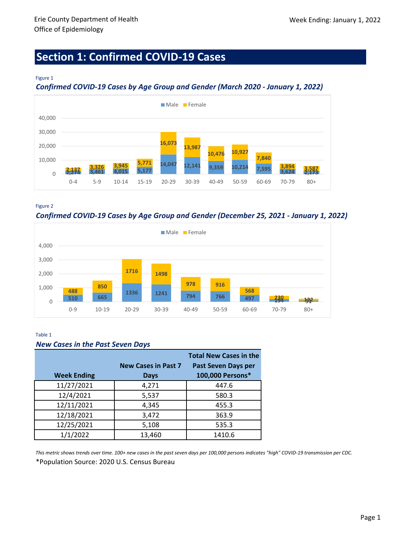# **Section 1: Confirmed COVID-19 Cases**

### Figure 1

## *Confirmed COVID-19 Cases by Age Group and Gender (March 2020 - January 1, 2022)*



Figure 2

*Confirmed COVID-19 Cases by Age Group and Gender (December 25, 2021 - January 1, 2022)*



### Table 1

### *New Cases in the Past Seven Days*

|                    |                            | <b>Total New Cases in the</b> |
|--------------------|----------------------------|-------------------------------|
|                    | <b>New Cases in Past 7</b> | <b>Past Seven Days per</b>    |
| <b>Week Ending</b> | <b>Days</b>                | 100,000 Persons*              |
| 11/27/2021         | 4,271                      | 447.6                         |
| 12/4/2021          | 5,537                      | 580.3                         |
| 12/11/2021         | 4,345                      | 455.3                         |
| 12/18/2021         | 3,472                      | 363.9                         |
| 12/25/2021         | 5,108                      | 535.3                         |
| 1/1/2022           | 13,460                     | 1410.6                        |

\*Population Source: 2020 U.S. Census Bureau *This metric shows trends over time. 100+ new cases in the past seven days per 100,000 persons indicates "high" COVID-19 transmission per CDC.*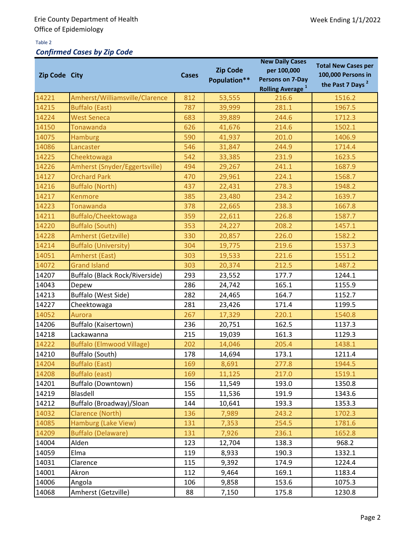## Table 2

# *Confirmed Cases by Zip Code*

| Zip Code City |                                  | <b>Cases</b> | <b>Zip Code</b><br>Population** | <b>New Daily Cases</b><br>per 100,000<br>Persons on 7-Day<br><b>Rolling Average</b> <sup>1</sup> | <b>Total New Cases per</b><br>100,000 Persons in<br>the Past 7 Days <sup>2</sup> |
|---------------|----------------------------------|--------------|---------------------------------|--------------------------------------------------------------------------------------------------|----------------------------------------------------------------------------------|
| 14221         | Amherst/Williamsville/Clarence   | 812          | 53,555                          | 216.6                                                                                            | 1516.2                                                                           |
| 14215         | <b>Buffalo (East)</b>            | 787          | 39,999                          | 281.1                                                                                            | 1967.5                                                                           |
| 14224         | <b>West Seneca</b>               | 683          | 39,889                          | 244.6                                                                                            | 1712.3                                                                           |
| 14150         | <b>Tonawanda</b>                 | 626          | 41,676                          | 214.6                                                                                            | 1502.1                                                                           |
| 14075         | <b>Hamburg</b>                   | 590          | 41,937                          | 201.0                                                                                            | 1406.9                                                                           |
| 14086         | Lancaster                        | 546          | 31,847                          | 244.9                                                                                            | 1714.4                                                                           |
| 14225         | Cheektowaga                      | 542          | 33,385                          | 231.9                                                                                            | 1623.5                                                                           |
| 14226         | Amherst (Snyder/Eggertsville)    | 494          | 29,267                          | 241.1                                                                                            | 1687.9                                                                           |
| 14127         | <b>Orchard Park</b>              | 470          | 29,961                          | 224.1                                                                                            | 1568.7                                                                           |
| 14216         | <b>Buffalo (North)</b>           | 437          | 22,431                          | 278.3                                                                                            | 1948.2                                                                           |
| 14217         | <b>Kenmore</b>                   | 385          | 23,480                          | 234.2                                                                                            | 1639.7                                                                           |
| 14223         | Tonawanda                        | 378          | 22,665                          | 238.3                                                                                            | 1667.8                                                                           |
| 14211         | Buffalo/Cheektowaga              | 359          | 22,611                          | 226.8                                                                                            | 1587.7                                                                           |
| 14220         | <b>Buffalo (South)</b>           | 353          | 24,227                          | 208.2                                                                                            | 1457.1                                                                           |
| 14228         | <b>Amherst (Getzville)</b>       | 330          | 20,857                          | 226.0                                                                                            | 1582.2                                                                           |
| 14214         | <b>Buffalo (University)</b>      | 304          | 19,775                          | 219.6                                                                                            | 1537.3                                                                           |
| 14051         | Amherst (East)                   | 303          | 19,533                          | 221.6                                                                                            | 1551.2                                                                           |
| 14072         | <b>Grand Island</b>              | 303          | 20,374                          | 212.5                                                                                            | 1487.2                                                                           |
| 14207         | Buffalo (Black Rock/Riverside)   | 293          | 23,552                          | 177.7                                                                                            | 1244.1                                                                           |
| 14043         | Depew                            | 286          | 24,742                          | 165.1                                                                                            | 1155.9                                                                           |
| 14213         | Buffalo (West Side)              | 282          | 24,465                          | 164.7                                                                                            | 1152.7                                                                           |
| 14227         | Cheektowaga                      | 281          | 23,426                          | 171.4                                                                                            | 1199.5                                                                           |
| 14052         | Aurora                           | 267          | 17,329                          | 220.1                                                                                            | 1540.8                                                                           |
| 14206         | Buffalo (Kaisertown)             | 236          | 20,751                          | 162.5                                                                                            | 1137.3                                                                           |
| 14218         | Lackawanna                       | 215          | 19,039                          | 161.3                                                                                            | 1129.3                                                                           |
| 14222         | <b>Buffalo (Elmwood Village)</b> | 202          | 14,046                          | 205.4                                                                                            | 1438.1                                                                           |
| 14210         | Buffalo (South)                  | 178          | 14,694                          | 173.1                                                                                            | 1211.4                                                                           |
| 14204         | <b>Buffalo (East)</b>            | 169          | 8,691                           | 277.8                                                                                            | 1944.5                                                                           |
| 14208         | <b>Buffalo (east)</b>            | 169          | 11,125                          | 217.0                                                                                            | 1519.1                                                                           |
| 14201         | <b>Buffalo (Downtown)</b>        | 156          | 11,549                          | 193.0                                                                                            | 1350.8                                                                           |
| 14219         | Blasdell                         | 155          | 11,536                          | 191.9                                                                                            | 1343.6                                                                           |
| 14212         | Buffalo (Broadway)/Sloan         | 144          | 10,641                          | 193.3                                                                                            | 1353.3                                                                           |
| 14032         | Clarence (North)                 | 136          | 7,989                           | 243.2                                                                                            | 1702.3                                                                           |
| 14085         | Hamburg (Lake View)              | 131          | 7,353                           | 254.5                                                                                            | 1781.6                                                                           |
| 14209         | <b>Buffalo (Delaware)</b>        | 131          | 7,926                           | 236.1                                                                                            | 1652.8                                                                           |
| 14004         | Alden                            | 123          | 12,704                          | 138.3                                                                                            | 968.2                                                                            |
| 14059         | Elma                             | 119          | 8,933                           | 190.3                                                                                            | 1332.1                                                                           |
| 14031         | Clarence                         | 115          | 9,392                           | 174.9                                                                                            | 1224.4                                                                           |
| 14001         | Akron                            | 112          | 9,464                           | 169.1                                                                                            | 1183.4                                                                           |
| 14006         | Angola                           | 106          | 9,858                           | 153.6                                                                                            | 1075.3                                                                           |
| 14068         | Amherst (Getzville)              | 88           | 7,150                           | 175.8                                                                                            | 1230.8                                                                           |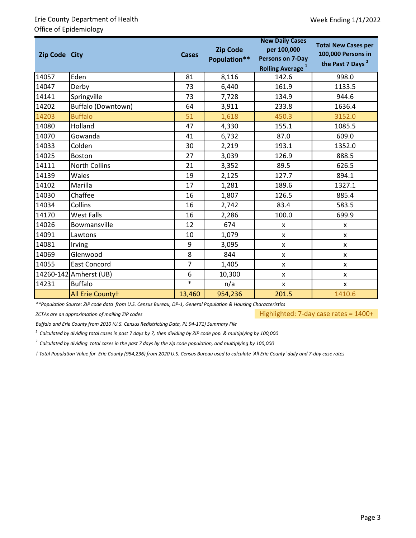| Zip Code City | <b>Cases</b>           |                | <b>Zip Code</b><br>Population** | <b>New Daily Cases</b><br>per 100,000<br>Persons on 7-Day<br><b>Rolling Average</b> <sup>1</sup> | <b>Total New Cases per</b><br>100,000 Persons in<br>the Past 7 Days <sup>2</sup> |
|---------------|------------------------|----------------|---------------------------------|--------------------------------------------------------------------------------------------------|----------------------------------------------------------------------------------|
| 14057         | Eden                   | 81             | 8,116                           | 142.6                                                                                            | 998.0                                                                            |
| 14047         | Derby                  | 73             | 6,440                           | 161.9                                                                                            | 1133.5                                                                           |
| 14141         | Springville            | 73             | 7,728                           | 134.9                                                                                            | 944.6                                                                            |
| 14202         | Buffalo (Downtown)     | 64             | 3,911                           | 233.8                                                                                            | 1636.4                                                                           |
| 14203         | <b>Buffalo</b>         | 51             | 1,618                           | 450.3                                                                                            | 3152.0                                                                           |
| 14080         | Holland                | 47             | 4,330                           | 155.1                                                                                            | 1085.5                                                                           |
| 14070         | Gowanda                | 41             | 6,732                           | 87.0                                                                                             | 609.0                                                                            |
| 14033         | Colden                 | 30             | 2,219                           | 193.1                                                                                            | 1352.0                                                                           |
| 14025         | <b>Boston</b>          | 27             | 3,039                           | 126.9                                                                                            | 888.5                                                                            |
| 14111         | North Collins          | 21             | 3,352                           | 89.5                                                                                             | 626.5                                                                            |
| 14139         | Wales                  | 19             | 2,125                           | 127.7                                                                                            | 894.1                                                                            |
| 14102         | Marilla                | 17             | 1,281                           | 189.6                                                                                            | 1327.1                                                                           |
| 14030         | Chaffee                | 16             | 1,807                           | 126.5                                                                                            | 885.4                                                                            |
| 14034         | Collins                | 16             | 2,742                           | 83.4                                                                                             | 583.5                                                                            |
| 14170         | <b>West Falls</b>      | 16             | 2,286                           | 100.0                                                                                            | 699.9                                                                            |
| 14026         | Bowmansville           | 12             | 674                             | X                                                                                                | X                                                                                |
| 14091         | Lawtons                | 10             | 1,079                           | $\mathsf{x}$                                                                                     | X                                                                                |
| 14081         | Irving                 | 9              | 3,095                           | X                                                                                                | X                                                                                |
| 14069         | Glenwood               | 8              | 844                             | X                                                                                                | X                                                                                |
| 14055         | <b>East Concord</b>    | $\overline{7}$ | 1,405                           | $\pmb{\mathsf{X}}$                                                                               | X                                                                                |
|               | 14260-142 Amherst (UB) | 6              | 10,300                          | X                                                                                                | X                                                                                |
| 14231         | <b>Buffalo</b>         | $\ast$         | n/a                             | X                                                                                                | X                                                                                |
|               | All Erie Countyt       | 13,460         | 954,236                         | 201.5                                                                                            | 1410.6                                                                           |

*\*\*Population Source: ZIP code data from U.S. Census Bureau, DP-1, General Population & Housing Characteristics*

*ZCTAs are an approximation of mailing ZIP codes*

Highlighted: 7-day case rates = 1400+

*Buffalo and Erie County from 2010 (U.S. Census Redistricting Data, PL 94-171) Summary File*

*1 Calculated by dividing total cases in past 7 days by 7, then dividing by ZIP code pop. & multiplying by 100,000*

*2 Calculated by dividing total cases in the past 7 days by the zip code population, and multiplying by 100,000*

*ⴕ Total Population Value for Erie County (954,236) from 2020 U.S. Census Bureau used to calculate 'All Erie County' daily and 7-day case rates*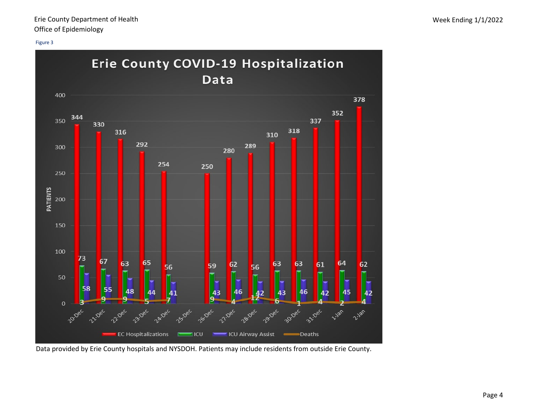#### Figure 3



Data provided by Erie County hospitals and NYSDOH. Patients may include residents from outside Erie County.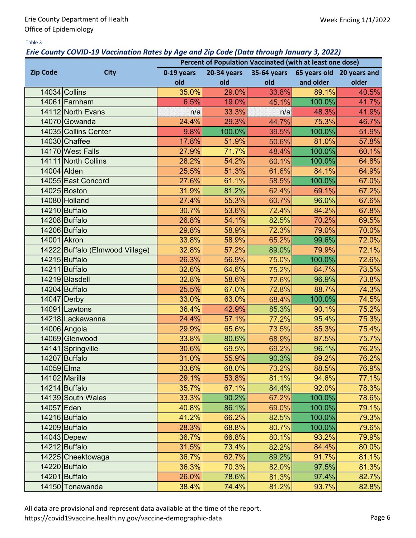### Table 3

## *Erie County COVID-19 Vaccination Rates by Age and Zip Code (Data through January 3, 2022)*

|                 |                                 | Percent of Population Vaccinated (with at least one dose) |             |             |           |                           |  |  |  |
|-----------------|---------------------------------|-----------------------------------------------------------|-------------|-------------|-----------|---------------------------|--|--|--|
| <b>Zip Code</b> | <b>City</b>                     | 0-19 years                                                | 20-34 years | 35-64 years |           | 65 years old 20 years and |  |  |  |
|                 |                                 | old                                                       | old         | old         | and older | older                     |  |  |  |
|                 | 14034 Collins                   | 35.0%                                                     | 29.0%       | 33.8%       | 89.1%     | 40.5%                     |  |  |  |
|                 | 14061 Farnham                   | 6.5%                                                      | 19.0%       | 45.1%       | 100.0%    | 41.7%                     |  |  |  |
|                 | 14112 North Evans               | n/a                                                       | 33.3%       | n/a         | 48.3%     | 41.9%                     |  |  |  |
|                 | 14070 Gowanda                   | 24.4%                                                     | 29.3%       | 44.7%       | 75.3%     | 46.7%                     |  |  |  |
|                 | 14035 Collins Center            | 9.8%                                                      | 100.0%      | 39.5%       | 100.0%    | 51.9%                     |  |  |  |
|                 | 14030 Chaffee                   | 17.8%                                                     | 51.9%       | 50.6%       | 81.0%     | 57.8%                     |  |  |  |
|                 | 14170 West Falls                | 27.9%                                                     | 71.7%       | 48.4%       | 100.0%    | 60.1%                     |  |  |  |
|                 | 14111 North Collins             | 28.2%                                                     | 54.2%       | 60.1%       | 100.0%    | 64.8%                     |  |  |  |
|                 | 14004 Alden                     | 25.5%                                                     | 51.3%       | 61.6%       | 84.1%     | 64.9%                     |  |  |  |
|                 | 14055 East Concord              | 27.6%                                                     | 61.1%       | 58.5%       | 100.0%    | 67.0%                     |  |  |  |
|                 | $14025$ Boston                  | 31.9%                                                     | 81.2%       | 62.4%       | 69.1%     | 67.2%                     |  |  |  |
|                 | 14080 Holland                   | 27.4%                                                     | 55.3%       | 60.7%       | 96.0%     | 67.6%                     |  |  |  |
|                 | 14210 Buffalo                   | 30.7%                                                     | 53.6%       | 72.4%       | 84.2%     | 67.8%                     |  |  |  |
|                 | 14208 Buffalo                   | 26.8%                                                     | 54.1%       | 82.5%       | 70.2%     | 69.5%                     |  |  |  |
|                 | 14206 Buffalo                   | 29.8%                                                     | 58.9%       | 72.3%       | 79.0%     | 70.0%                     |  |  |  |
|                 | 14001 Akron                     | 33.8%                                                     | 58.9%       | 65.2%       | 99.6%     | 72.0%                     |  |  |  |
|                 | 14222 Buffalo (Elmwood Village) | 32.8%                                                     | 57.2%       | 89.0%       | 79.9%     | 72.1%                     |  |  |  |
|                 | 14215 Buffalo                   | 26.3%                                                     | 56.9%       | 75.0%       | 100.0%    | 72.6%                     |  |  |  |
|                 | 14211 Buffalo                   | 32.6%                                                     | 64.6%       | 75.2%       | 84.7%     | 73.5%                     |  |  |  |
|                 | 14219 Blasdell                  | 32.8%                                                     | 58.6%       | 72.6%       | 96.9%     | 73.8%                     |  |  |  |
|                 | 14204 Buffalo                   | 25.5%                                                     | 67.0%       | 72.8%       | 88.7%     | 74.3%                     |  |  |  |
|                 | $14047$ Derby                   | 33.0%                                                     | 63.0%       | 68.4%       | 100.0%    | 74.5%                     |  |  |  |
|                 | 14091 Lawtons                   | 36.4%                                                     | 42.9%       | 85.3%       | 90.1%     | 75.2%                     |  |  |  |
|                 | 14218 Lackawanna                | 24.4%                                                     | 57.1%       | 77.2%       | 95.4%     | 75.3%                     |  |  |  |
|                 | 14006 Angola                    | 29.9%                                                     | 65.6%       | 73.5%       | 85.3%     | 75.4%                     |  |  |  |
|                 | 14069 Glenwood                  | 33.8%                                                     | 80.6%       | 68.9%       | 87.5%     | 75.7%                     |  |  |  |
|                 | 14141 Springville               | 30.6%                                                     | 69.5%       | 69.2%       | 96.1%     | 76.2%                     |  |  |  |
|                 | 14207 Buffalo                   | 31.0%                                                     | 55.9%       | 90.3%       | 89.2%     | 76.2%                     |  |  |  |
| 14059 Elma      |                                 | 33.6%                                                     | 68.0%       | 73.2%       | 88.5%     | 76.9%                     |  |  |  |
|                 | 14102 Marilla                   | 29.1%                                                     | 53.8%       | 81.1%       | 94.6%     | 77.1%                     |  |  |  |
|                 | 14214 Buffalo                   | 35.7%                                                     | 67.1%       | 84.4%       | 92.0%     | 78.3%                     |  |  |  |
|                 | 14139 South Wales               | 33.3%                                                     | 90.2%       | 67.2%       | 100.0%    | 78.6%                     |  |  |  |
| 14057 Eden      |                                 | 40.8%                                                     | 86.1%       | 69.0%       | 100.0%    | 79.1%                     |  |  |  |
|                 | 14216 Buffalo                   | 41.2%                                                     | 66.2%       | 82.5%       | 100.0%    | 79.3%                     |  |  |  |
|                 | 14209 Buffalo                   | 28.3%                                                     | 68.8%       | 80.7%       | 100.0%    | 79.6%                     |  |  |  |
|                 | 14043 Depew                     | 36.7%                                                     | 66.8%       | 80.1%       | 93.2%     | 79.9%                     |  |  |  |
|                 | 14212 Buffalo                   | 31.5%                                                     | 73.4%       | 82.2%       | 84.4%     | 80.0%                     |  |  |  |
|                 | 14225 Cheektowaga               | 36.7%                                                     | 62.7%       | 89.2%       | 91.7%     | 81.1%                     |  |  |  |
|                 | 14220 Buffalo                   | 36.3%                                                     | 70.3%       | 82.0%       | 97.5%     | 81.3%                     |  |  |  |
|                 | 14201 Buffalo                   | 26.0%                                                     | 78.6%       | 81.3%       | 97.4%     | 82.7%                     |  |  |  |
|                 | 14150 Tonawanda                 | 38.4%                                                     | 74.4%       | 81.2%       | 93.7%     | 82.8%                     |  |  |  |

All data are provisional and represent data available at the time of the report.

https://covid19vaccine.health.ny.gov/vaccine-demographic-data Page 6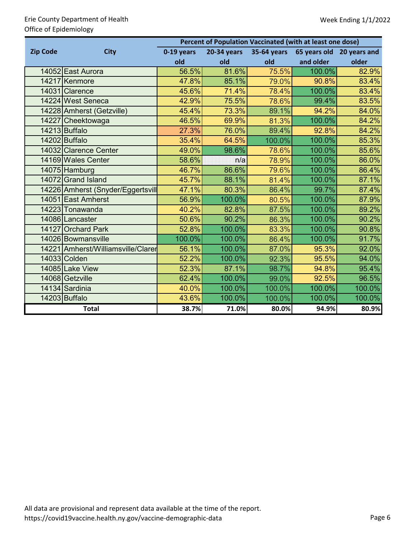# Erie County Department of Health Office of Epidemiology

|                 |                                    | Percent of Population Vaccinated (with at least one dose) |             |             |           |                           |  |  |  |  |
|-----------------|------------------------------------|-----------------------------------------------------------|-------------|-------------|-----------|---------------------------|--|--|--|--|
| <b>Zip Code</b> | <b>City</b>                        | 0-19 years                                                | 20-34 years | 35-64 years |           | 65 years old 20 years and |  |  |  |  |
|                 |                                    | old                                                       | old         | old         | and older | older                     |  |  |  |  |
|                 | 14052 East Aurora                  | 56.5%                                                     | 81.6%       | 75.5%       | 100.0%    | 82.9%                     |  |  |  |  |
|                 | 14217 Kenmore                      | 47.8%                                                     | 85.1%       | 79.0%       | 90.8%     | 83.4%                     |  |  |  |  |
|                 | 14031 Clarence                     | 45.6%                                                     | 71.4%       | 78.4%       | 100.0%    | 83.4%                     |  |  |  |  |
|                 | 14224 West Seneca                  | 42.9%                                                     | 75.5%       | 78.6%       | 99.4%     | 83.5%                     |  |  |  |  |
|                 | 14228 Amherst (Getzville)          | 45.4%                                                     | 73.3%       | 89.1%       | 94.2%     | 84.0%                     |  |  |  |  |
|                 | 14227 Cheektowaga                  | 46.5%                                                     | 69.9%       | 81.3%       | 100.0%    | 84.2%                     |  |  |  |  |
|                 | 14213 Buffalo                      | 27.3%                                                     | 76.0%       | 89.4%       | 92.8%     | 84.2%                     |  |  |  |  |
|                 | 14202 Buffalo                      | 35.4%                                                     | 64.5%       | 100.0%      | 100.0%    | 85.3%                     |  |  |  |  |
|                 | 14032 Clarence Center              | 49.0%                                                     | 98.6%       | 78.6%       | 100.0%    | 85.6%                     |  |  |  |  |
|                 | 14169 Wales Center                 | 58.6%                                                     | n/a         | 78.9%       | 100.0%    | 86.0%                     |  |  |  |  |
|                 | 14075 Hamburg                      | 46.7%                                                     | 86.6%       | 79.6%       | 100.0%    | 86.4%                     |  |  |  |  |
|                 | 14072 Grand Island                 | 45.7%                                                     | 88.1%       | 81.4%       | 100.0%    | 87.1%                     |  |  |  |  |
|                 | 14226 Amherst (Snyder/Eggertsvill  | 47.1%                                                     | 80.3%       | 86.4%       | 99.7%     | 87.4%                     |  |  |  |  |
|                 | 14051 East Amherst                 | 56.9%                                                     | 100.0%      | 80.5%       | 100.0%    | 87.9%                     |  |  |  |  |
|                 | 14223 Tonawanda                    | 40.2%                                                     | 82.8%       | 87.5%       | 100.0%    | 89.2%                     |  |  |  |  |
|                 | 14086 Lancaster                    | 50.6%                                                     | 90.2%       | 86.3%       | 100.0%    | 90.2%                     |  |  |  |  |
|                 | 14127 Orchard Park                 | 52.8%                                                     | 100.0%      | 83.3%       | 100.0%    | 90.8%                     |  |  |  |  |
|                 | 14026 Bowmansville                 | 100.0%                                                    | 100.0%      | 86.4%       | 100.0%    | 91.7%                     |  |  |  |  |
|                 | 14221 Amherst/Williamsville/Clarer | 56.1%                                                     | 100.0%      | 87.0%       | 95.3%     | 92.0%                     |  |  |  |  |
|                 | 14033 Colden                       | 52.2%                                                     | 100.0%      | 92.3%       | 95.5%     | 94.0%                     |  |  |  |  |
|                 | 14085 Lake View                    | 52.3%                                                     | 87.1%       | 98.7%       | 94.8%     | 95.4%                     |  |  |  |  |
|                 | 14068 Getzville                    | 62.4%                                                     | 100.0%      | 99.0%       | 92.5%     | 96.5%                     |  |  |  |  |
|                 | 14134 Sardinia                     | 40.0%                                                     | 100.0%      | 100.0%      | 100.0%    | 100.0%                    |  |  |  |  |
|                 | 14203 Buffalo                      | 43.6%                                                     | 100.0%      | 100.0%      | 100.0%    | 100.0%                    |  |  |  |  |
|                 | <b>Total</b>                       | 38.7%                                                     | 71.0%       | 80.0%       | 94.9%     | 80.9%                     |  |  |  |  |